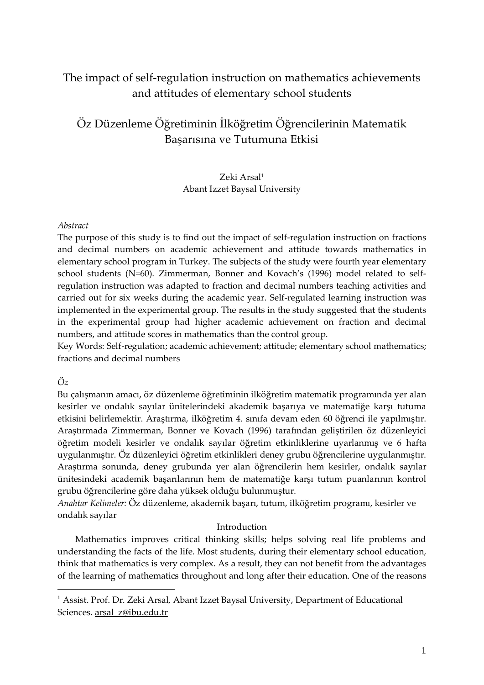## The impact of self-regulation instruction on mathematics achievements and attitudes of elementary school students

# Öz Düzenleme Öğretiminin İlköğretim Öğrencilerinin Matematik Başarısına ve Tutumuna Etkisi

## Zeki Arsal[1](#page-0-0) Abant Izzet Baysal University

## *Abstract*

The purpose of this study is to find out the impact of self-regulation instruction on fractions and decimal numbers on academic achievement and attitude towards mathematics in elementary school program in Turkey. The subjects of the study were fourth year elementary school students (N=60). Zimmerman, Bonner and Kovach's (1996) model related to selfregulation instruction was adapted to fraction and decimal numbers teaching activities and carried out for six weeks during the academic year. Self-regulated learning instruction was implemented in the experimental group. The results in the study suggested that the students in the experimental group had higher academic achievement on fraction and decimal numbers, and attitude scores in mathematics than the control group.

Key Words: Self-regulation; academic achievement; attitude; elementary school mathematics; fractions and decimal numbers

## *Öz*

Bu çalışmanın amacı, öz düzenleme öğretiminin ilköğretim matematik programında yer alan kesirler ve ondalık sayılar ünitelerindeki akademik başarıya ve matematiğe karşı tutuma etkisini belirlemektir. Araştırma, ilköğretim 4. sınıfa devam eden 60 öğrenci ile yapılmıştır. Araştırmada Zimmerman, Bonner ve Kovach (1996) tarafından geliştirilen öz düzenleyici öğretim modeli kesirler ve ondalık sayılar öğretim etkinliklerine uyarlanmış ve 6 hafta uygulanmıştır. Öz düzenleyici öğretim etkinlikleri deney grubu öğrencilerine uygulanmıştır. Araştırma sonunda, deney grubunda yer alan öğrencilerin hem kesirler, ondalık sayılar ünitesindeki academik başarılarının hem de matematiğe karşı tutum puanlarının kontrol grubu öğrencilerine göre daha yüksek olduğu bulunmuştur.

*Anahtar Kelimeler:* Öz düzenleme, akademik başarı, tutum, ilköğretim programı, kesirler ve ondalık sayılar

## Introduction

Mathematics improves critical thinking skills; helps solving real life problems and understanding the facts of the life. Most students, during their elementary school education, think that mathematics is very complex. As a result, they can not benefit from the advantages of the learning of mathematics throughout and long after their education. One of the reasons

<span id="page-0-0"></span><sup>&</sup>lt;sup>1</sup> Assist. Prof. Dr. Zeki Arsal, Abant Izzet Baysal University, Department of Educational Sciences. [arsal\\_z@ibu.edu.tr](mailto:arsal_z@ibu.edu.tr)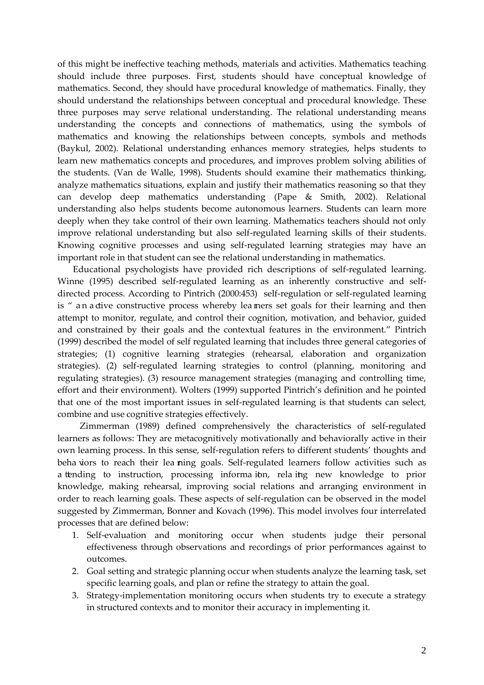of this might be ineffective teaching methods, materials and activities. Mathematics teaching should include three purposes. First, students should have conceptual knowledge of mathematics. Second, they should have procedural knowledge of mathematics. Finally, they should understand the relationships between conceptual and procedural knowledge. These three purposes may serve relational understanding. The relational understanding means understanding the concepts and connections of mathematics, using the symbols of mathematics and knowing the relationships between concepts, symbols and methods (Baykul, 2002). Relational understanding enhances memory strategies, helps students to learn new mathematics concepts and procedures, and improves problem solving abilities of the students. (Van de Walle, 1998). Students should examine their mathematics thinking, analyze mathematics situations, explain and justify their mathematics reasoning so that they can develop deep mathematics understanding (Pape & Smith, 2002). Relational understanding also helps students become autonomous learners. Students can learn more deeply when they take control of their own learning. Mathematics teachers should not only improve relational understanding but also self-regulated learning skills of their students. Knowing cognitive processes and using self-regulated learning strategies may have an important role in that student can see the relational understanding in mathematics.

 Educational psychologists have provided rich descriptions of self-regulated learning. Winne (1995) described self-regulated learning as an inherently constructive and selfdirected process. According to Pintrich (2000:453) self-regulation or self-regulated learning is " an a dive constructive process whereby leamers set goals for their learning and then attempt to monitor, regulate, and control their cognition, motivation, and behavior, guided and constrained by their goals and the contextual features in the environment." Pintrich (1999) described the model of self regulated learning that includes three general categories of strategies; (1) cognitive learning strategies (rehearsal, elaboration and organization strategies). (2) self-regulated learning strategies to control (planning, monitoring and regulating strategies). (3) resource management strategies (managing and controlling time, effort and their environment). Wolters (1999) supported Pintrich's definition and he pointed that one of the most important issues in self-regulated learning is that students can select, combine and use cognitive strategies effectively.

 Zimmerman (1989) defined comprehensively the characteristics of self-regulated learners as follows: They are metacognitively motivationally and behaviorally active in their own learning process. In this sense, self-regulation refers to different students' thoughts and beha viors to reach their lea ning goals. Self-regulated learners follow activities such as a tending to instruction, processing informa ion, relaing new knowledge to prior knowledge, making rehearsal, improving social relations and arranging environment in order to reach learning goals. These aspects of self-regulation can be observed in the model suggested by Zimmerman, Bonner and Kovach (1996). This model involves four interrelated processes that are defined below:

- 1. Self-evaluation and monitoring occur when students judge their personal effectiveness through observations and recordings of prior performances against to outcomes.
- 2. Goal setting and strategic planning occur when students analyze the learning task, set specific learning goals, and plan or refine the strategy to attain the goal.
- 3. Strategy-implementation monitoring occurs when students try to execute a strategy in structured contexts and to monitor their accuracy in implementing it.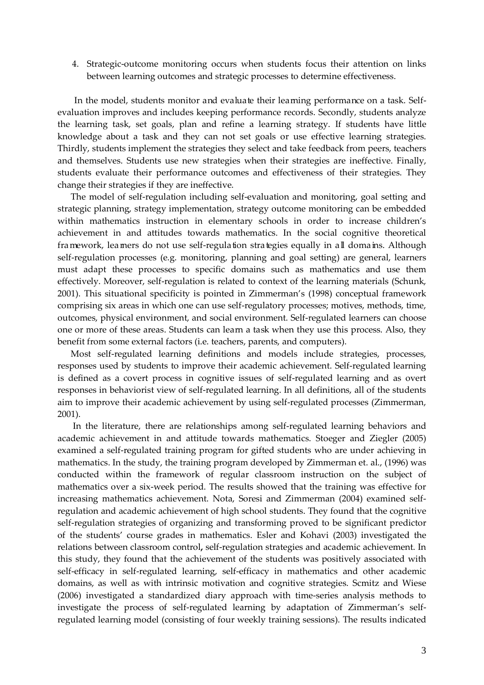4. Strategic-outcome monitoring occurs when students focus their attention on links between learning outcomes and strategic processes to determine effectiveness.

In the model, students monitor and evaluate their learning performance on a task. Selfevaluation improves and includes keeping performance records. Secondly, students analyze the learning task, set goals, plan and refine a learning strategy. If students have little knowledge about a task and they can not set goals or use effective learning strategies. Thirdly, students implement the strategies they select and take feedback from peers, teachers and themselves. Students use new strategies when their strategies are ineffective. Finally, students evaluate their performance outcomes and effectiveness of their strategies. They change their strategies if they are ineffective.

 The model of self-regulation including self-evaluation and monitoring, goal setting and strategic planning, strategy implementation, strategy outcome monitoring can be embedded within mathematics instruction in elementary schools in order to increase children's achievement in and attitudes towards mathematics. In the social cognitive theoretical framework, leamers do not use self-regulation strategies equally in all domains. Although self-regulation processes (e.g. monitoring, planning and goal setting) are general, learners must adapt these processes to specific domains such as mathematics and use them effectively. Moreover, self-regulation is related to context of the learning materials (Schunk, 2001). This situational specificity is pointed in Zimmerman's (1998) conceptual framework comprising six areas in which one can use self-regulatory processes; motives, methods, time, outcomes, physical environment, and social environment. Self-regulated learners can choose one or more of these areas. Students can learn a task when they use this process. Also, they benefit from some external factors (i.e. teachers, parents, and computers).

 Most self-regulated learning definitions and models include strategies, processes, responses used by students to improve their academic achievement. Self-regulated learning is defined as a covert process in cognitive issues of self-regulated learning and as overt responses in behaviorist view of self-regulated learning. In all definitions, all of the students aim to improve their academic achievement by using self-regulated processes (Zimmerman, 2001).

 In the literature, there are relationships among self-regulated learning behaviors and academic achievement in and attitude towards mathematics. Stoeger and Ziegler (2005) examined a self-regulated training program for gifted students who are under achieving in mathematics. In the study, the training program developed by Zimmerman et. al., (1996) was conducted within the framework of regular classroom instruction on the subject of mathematics over a six-week period. The results showed that the training was effective for increasing mathematics achievement. Nota, Soresi and Zimmerman (2004) examined selfregulation and academic achievement of high school students. They found that the cognitive self-regulation strategies of organizing and transforming proved to be significant predictor of the students' course grades in mathematics. Esler and Kohavi (2003) investigated the relations between classroom control**,** self-regulation strategies and academic achievement. In this study, they found that the achievement of the students was positively associated with self-efficacy in self-regulated learning, self-efficacy in mathematics and other academic domains, as well as with intrinsic motivation and cognitive strategies. Scmitz and Wiese (2006) investigated a standardized diary approach with time-series analysis methods to investigate the process of self-regulated learning by adaptation of Zimmerman's selfregulated learning model (consisting of four weekly training sessions). The results indicated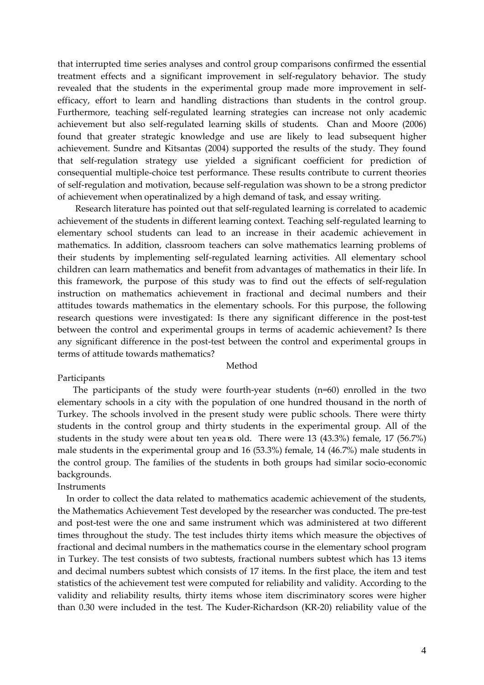that interrupted time series analyses and control group comparisons confirmed the essential treatment effects and a significant improvement in self-regulatory behavior. The study revealed that the students in the experimental group made more improvement in selfefficacy, effort to learn and handling distractions than students in the control group. Furthermore, teaching self-regulated learning strategies can increase not only academic achievement but also self-regulated learning skills of students. Chan and Moore (2006) found that greater strategic knowledge and use are likely to lead subsequent higher achievement. Sundre and Kitsantas (2004) supported the results of the study. They found that self-regulation strategy use yielded a significant coefficient for prediction of consequential multiple-choice test performance. These results contribute to current theories of self-regulation and motivation, because self-regulation was shown to be a strong predictor of achievement when operatinalized by a high demand of task, and essay writing.

 Research literature has pointed out that self-regulated learning is correlated to academic achievement of the students in different learning context. Teaching self-regulated learning to elementary school students can lead to an increase in their academic achievement in mathematics. In addition, classroom teachers can solve mathematics learning problems of their students by implementing self-regulated learning activities. All elementary school children can learn mathematics and benefit from advantages of mathematics in their life. In this framework, the purpose of this study was to find out the effects of self-regulation instruction on mathematics achievement in fractional and decimal numbers and their attitudes towards mathematics in the elementary schools. For this purpose, the following research questions were investigated: Is there any significant difference in the post-test between the control and experimental groups in terms of academic achievement? Is there any significant difference in the post-test between the control and experimental groups in terms of attitude towards mathematics?

#### Method

#### Participants

 The participants of the study were fourth-year students (n=60) enrolled in the two elementary schools in a city with the population of one hundred thousand in the north of Turkey. The schools involved in the present study were public schools. There were thirty students in the control group and thirty students in the experimental group. All of the students in the study were about ten years old. There were 13 (43.3%) female, 17 (56.7%) male students in the experimental group and 16 (53.3%) female, 14 (46.7%) male students in the control group. The families of the students in both groups had similar socio-economic backgrounds.

## **Instruments**

 In order to collect the data related to mathematics academic achievement of the students, the Mathematics Achievement Test developed by the researcher was conducted. The pre-test and post-test were the one and same instrument which was administered at two different times throughout the study. The test includes thirty items which measure the objectives of fractional and decimal numbers in the mathematics course in the elementary school program in Turkey. The test consists of two subtests, fractional numbers subtest which has 13 items and decimal numbers subtest which consists of 17 items. In the first place, the item and test statistics of the achievement test were computed for reliability and validity. According to the validity and reliability results, thirty items whose item discriminatory scores were higher than 0.30 were included in the test. The Kuder-Richardson (KR-20) reliability value of the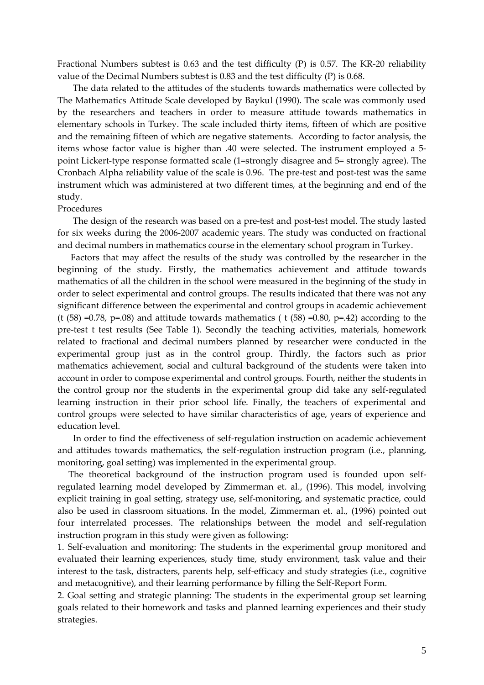Fractional Numbers subtest is 0.63 and the test difficulty (P) is 0.57. The KR-20 reliability value of the Decimal Numbers subtest is 0.83 and the test difficulty (P) is 0.68.

 The data related to the attitudes of the students towards mathematics were collected by The Mathematics Attitude Scale developed by Baykul (1990). The scale was commonly used by the researchers and teachers in order to measure attitude towards mathematics in elementary schools in Turkey. The scale included thirty items, fifteen of which are positive and the remaining fifteen of which are negative statements. According to factor analysis, the items whose factor value is higher than .40 were selected. The instrument employed a 5 point Lickert-type response formatted scale (1=strongly disagree and 5= strongly agree). The Cronbach Alpha reliability value of the scale is 0.96. The pre-test and post-test was the same instrument which was administered at two different times, at the beginning and end of the study.

#### Procedures

 The design of the research was based on a pre-test and post-test model. The study lasted for six weeks during the 2006-2007 academic years. The study was conducted on fractional and decimal numbers in mathematics course in the elementary school program in Turkey.

 Factors that may affect the results of the study was controlled by the researcher in the beginning of the study. Firstly, the mathematics achievement and attitude towards mathematics of all the children in the school were measured in the beginning of the study in order to select experimental and control groups. The results indicated that there was not any significant difference between the experimental and control groups in academic achievement (t  $(58)$  =0.78, p=.08) and attitude towards mathematics (t  $(58)$  =0.80, p=.42) according to the pre-test t test results (See Table 1). Secondly the teaching activities, materials, homework related to fractional and decimal numbers planned by researcher were conducted in the experimental group just as in the control group. Thirdly, the factors such as prior mathematics achievement, social and cultural background of the students were taken into account in order to compose experimental and control groups. Fourth, neither the students in the control group nor the students in the experimental group did take any self-regulated learning instruction in their prior school life. Finally, the teachers of experimental and control groups were selected to have similar characteristics of age, years of experience and education level.

 In order to find the effectiveness of self-regulation instruction on academic achievement and attitudes towards mathematics, the self-regulation instruction program (i.e., planning, monitoring, goal setting) was implemented in the experimental group.

 The theoretical background of the instruction program used is founded upon selfregulated learning model developed by Zimmerman et. al., (1996). This model, involving explicit training in goal setting, strategy use, self-monitoring, and systematic practice, could also be used in classroom situations. In the model, Zimmerman et. al., (1996) pointed out four interrelated processes. The relationships between the model and self-regulation instruction program in this study were given as following:

1. Self-evaluation and monitoring: The students in the experimental group monitored and evaluated their learning experiences, study time, study environment, task value and their interest to the task, distracters, parents help, self-efficacy and study strategies (i.e., cognitive and metacognitive), and their learning performance by filling the Self-Report Form.

2. Goal setting and strategic planning: The students in the experimental group set learning goals related to their homework and tasks and planned learning experiences and their study strategies.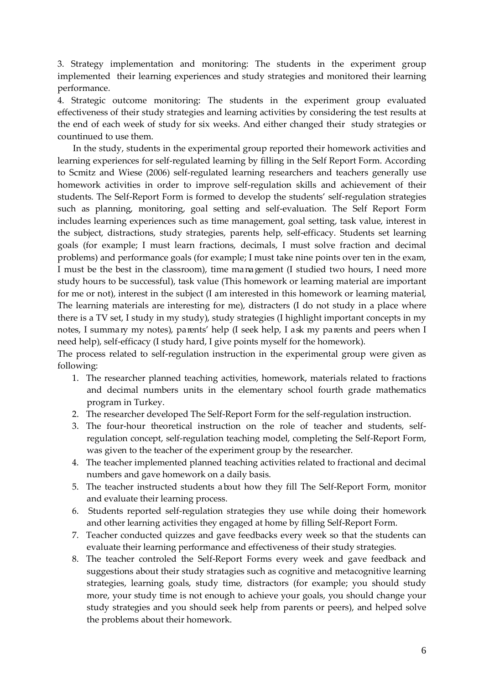3. Strategy implementation and monitoring: The students in the experiment group implemented their learning experiences and study strategies and monitored their learning performance.

4. Strategic outcome monitoring: The students in the experiment group evaluated effectiveness of their study strategies and learning activities by considering the test results at the end of each week of study for six weeks. And either changed their study strategies or countinued to use them.

 In the study, students in the experimental group reported their homework activities and learning experiences for self-regulated learning by filling in the Self Report Form. According to Scmitz and Wiese (2006) self-regulated learning researchers and teachers generally use homework activities in order to improve self-regulation skills and achievement of their students. The Self-Report Form is formed to develop the students' self-regulation strategies such as planning, monitoring, goal setting and self-evaluation. The Self Report Form includes learning experiences such as time management, goal setting, task value, interest in the subject, distractions, study strategies, parents help, self-efficacy. Students set learning goals (for example; I must learn fractions, decimals, I must solve fraction and decimal problems) and performance goals (for example; I must take nine points over ten in the exam, I must be the best in the classroom), time management (I studied two hours, I need more study hours to be successful), task value (This homework or learning material are important for me or not), interest in the subject (I am interested in this homework or learning material, The learning materials are interesting for me), distracters (I do not study in a place where there is a TV set, I study in my study), study strategies (I highlight important concepts in my notes, I summary my notes), parents' help (I seek help, I ask my parents and peers when I need help), self-efficacy (I study hard, I give points myself for the homework).

The process related to self-regulation instruction in the experimental group were given as following:

- 1. The researcher planned teaching activities, homework, materials related to fractions and decimal numbers units in the elementary school fourth grade mathematics program in Turkey.
- 2. The researcher developed The Self-Report Form for the self-regulation instruction.
- 3. The four-hour theoretical instruction on the role of teacher and students, selfregulation concept, self-regulation teaching model, completing the Self-Report Form, was given to the teacher of the experiment group by the researcher.
- 4. The teacher implemented planned teaching activities related to fractional and decimal numbers and gave homework on a daily basis.
- 5. The teacher instructed students a bout how they fill The Self-Report Form, monitor and evaluate their learning process.
- 6. Students reported self-regulation strategies they use while doing their homework and other learning activities they engaged at home by filling Self-Report Form.
- 7. Teacher conducted quizzes and gave feedbacks every week so that the students can evaluate their learning performance and effectiveness of their study strategies.
- 8. The teacher controled the Self-Report Forms every week and gave feedback and suggestions about their study stratagies such as cognitive and metacognitive learning strategies, learning goals, study time, distractors (for example; you should study more, your study time is not enough to achieve your goals, you should change your study strategies and you should seek help from parents or peers), and helped solve the problems about their homework.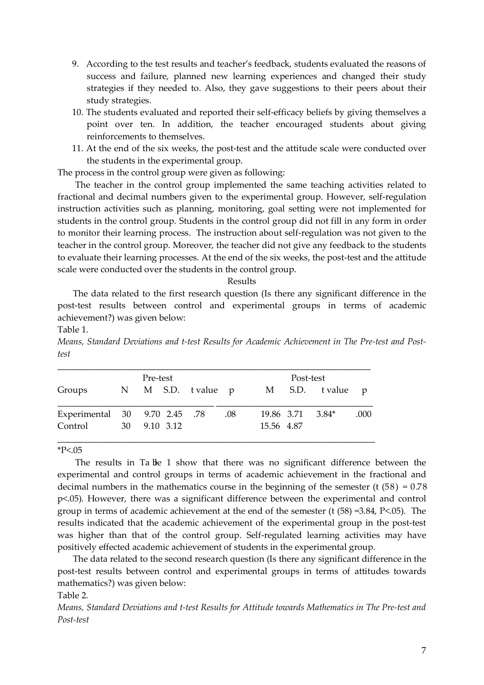- 9. According to the test results and teacher's feedback, students evaluated the reasons of success and failure, planned new learning experiences and changed their study strategies if they needed to. Also, they gave suggestions to their peers about their study strategies.
- 10. The students evaluated and reported their self-efficacy beliefs by giving themselves a point over ten. In addition, the teacher encouraged students about giving reinforcements to themselves.
- 11. At the end of the six weeks, the post-test and the attitude scale were conducted over the students in the experimental group.

The process in the control group were given as following:

 The teacher in the control group implemented the same teaching activities related to fractional and decimal numbers given to the experimental group. However, self-regulation instruction activities such as planning, monitoring, goal setting were not implemented for students in the control group. Students in the control group did not fill in any form in order to monitor their learning process. The instruction about self-regulation was not given to the teacher in the control group. Moreover, the teacher did not give any feedback to the students to evaluate their learning processes. At the end of the six weeks, the post-test and the attitude scale were conducted over the students in the control group.

#### Results

 The data related to the first research question (Is there any significant difference in the post-test results between control and experimental groups in terms of academic achievement?) was given below:

Table 1.

*Means, Standard Deviations and t-test Results for Academic Achievement in The Pre-test and Posttest*

|                               | Pre-test |              |                   |     |            |                  |                 |      |
|-------------------------------|----------|--------------|-------------------|-----|------------|------------------|-----------------|------|
| Groups                        |          |              | N M S.D. tvalue p |     |            |                  | M S.D. tvalue p |      |
| Experimental 30 9.70 2.45 .78 |          |              |                   | .08 |            | 19.86 3.71 3.84* |                 | .000 |
| Control                       |          | 30 9.10 3.12 |                   |     | 15.56 4.87 |                  |                 |      |

### $*P<.05$

The results in Ta ble 1 show that there was no significant difference between the experimental and control groups in terms of academic achievement in the fractional and decimal numbers in the mathematics course in the beginning of the semester (t  $(58) = 0.78$ ) p<.05). However, there was a significant difference between the experimental and control group in terms of academic achievement at the end of the semester (t (58) =3.84, P<.05). The results indicated that the academic achievement of the experimental group in the post-test was higher than that of the control group. Self-regulated learning activities may have positively effected academic achievement of students in the experimental group.

 The data related to the second research question (Is there any significant difference in the post-test results between control and experimental groups in terms of attitudes towards mathematics?) was given below:

## Table 2.

*Means, Standard Deviations and t-test Results for Attitude towards Mathematics in The Pre-test and Post-test*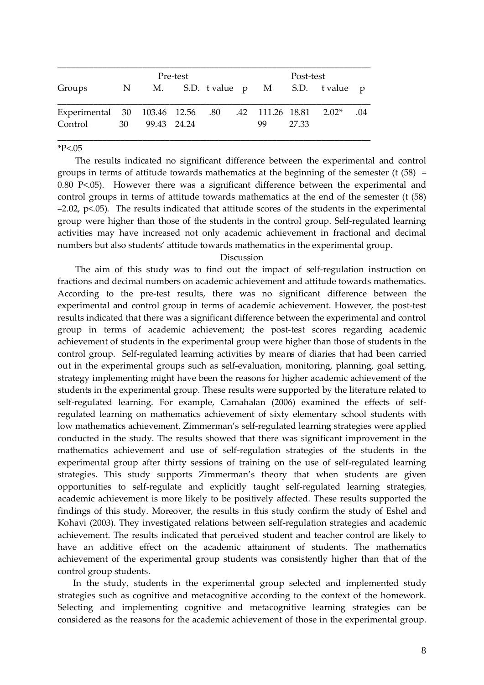|                                                         | Pre-test |             |  |  |  | Post-test |       |                                    |     |  |
|---------------------------------------------------------|----------|-------------|--|--|--|-----------|-------|------------------------------------|-----|--|
| Groups                                                  |          |             |  |  |  |           |       | N M. S.D. tvalue p M S.D. tvalue p |     |  |
| Experimental 30 103.46 12.56 .80 .42 111.26 18.81 2.02* |          |             |  |  |  |           |       |                                    | .04 |  |
| Control                                                 | 30       | 99.43 24.24 |  |  |  | 99        | 27.33 |                                    |     |  |

 $*P<.05$ 

 The results indicated no significant difference between the experimental and control groups in terms of attitude towards mathematics at the beginning of the semester (t  $(58)$  = 0.80 P<.05). However there was a significant difference between the experimental and control groups in terms of attitude towards mathematics at the end of the semester (t (58)  $=$  2.02,  $p$ <.05). The results indicated that attitude scores of the students in the experimental group were higher than those of the students in the control group. Self-regulated learning activities may have increased not only academic achievement in fractional and decimal numbers but also students' attitude towards mathematics in the experimental group.

#### Discussion

 The aim of this study was to find out the impact of self-regulation instruction on fractions and decimal numbers on academic achievement and attitude towards mathematics. According to the pre-test results, there was no significant difference between the experimental and control group in terms of academic achievement. However, the post-test results indicated that there was a significant difference between the experimental and control group in terms of academic achievement; the post-test scores regarding academic achievement of students in the experimental group were higher than those of students in the control group. Self-regulated learning activities by means of diaries that had been carried out in the experimental groups such as self-evaluation, monitoring, planning, goal setting, strategy implementing might have been the reasons for higher academic achievement of the students in the experimental group. These results were supported by the literature related to self-regulated learning. For example, Camahalan (2006) examined the effects of selfregulated learning on mathematics achievement of sixty elementary school students with low mathematics achievement. Zimmerman's self-regulated learning strategies were applied conducted in the study. The results showed that there was significant improvement in the mathematics achievement and use of self-regulation strategies of the students in the experimental group after thirty sessions of training on the use of self-regulated learning strategies. This study supports Zimmerman's theory that when students are given opportunities to self-regulate and explicitly taught self-regulated learning strategies, academic achievement is more likely to be positively affected. These results supported the findings of this study. Moreover, the results in this study confirm the study of Eshel and Kohavi (2003). They investigated relations between self-regulation strategies and academic achievement. The results indicated that perceived student and teacher control are likely to have an additive effect on the academic attainment of students. The mathematics achievement of the experimental group students was consistently higher than that of the control group students.

 In the study, students in the experimental group selected and implemented study strategies such as cognitive and metacognitive according to the context of the homework. Selecting and implementing cognitive and metacognitive learning strategies can be considered as the reasons for the academic achievement of those in the experimental group.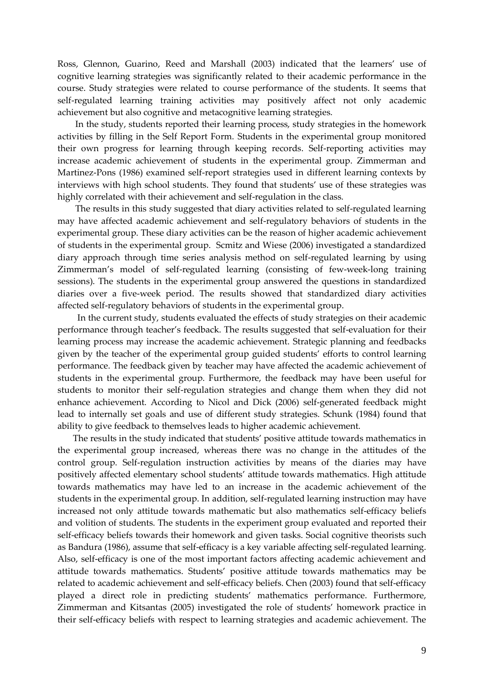Ross, Glennon, Guarino, Reed and Marshall (2003) indicated that the learners' use of cognitive learning strategies was significantly related to their academic performance in the course. Study strategies were related to course performance of the students. It seems that self-regulated learning training activities may positively affect not only academic achievement but also cognitive and metacognitive learning strategies.

 In the study, students reported their learning process, study strategies in the homework activities by filling in the Self Report Form. Students in the experimental group monitored their own progress for learning through keeping records. Self-reporting activities may increase academic achievement of students in the experimental group. Zimmerman and Martinez-Pons (1986) examined self-report strategies used in different learning contexts by interviews with high school students. They found that students' use of these strategies was highly correlated with their achievement and self-regulation in the class.

 The results in this study suggested that diary activities related to self-regulated learning may have affected academic achievement and self-regulatory behaviors of students in the experimental group. These diary activities can be the reason of higher academic achievement of students in the experimental group. Scmitz and Wiese (2006) investigated a standardized diary approach through time series analysis method on self-regulated learning by using Zimmerman's model of self-regulated learning (consisting of few-week-long training sessions). The students in the experimental group answered the questions in standardized diaries over a five-week period. The results showed that standardized diary activities affected self-regulatory behaviors of students in the experimental group.

 In the current study, students evaluated the effects of study strategies on their academic performance through teacher's feedback. The results suggested that self-evaluation for their learning process may increase the academic achievement. Strategic planning and feedbacks given by the teacher of the experimental group guided students' efforts to control learning performance. The feedback given by teacher may have affected the academic achievement of students in the experimental group. Furthermore, the feedback may have been useful for students to monitor their self-regulation strategies and change them when they did not enhance achievement. According to Nicol and Dick (2006) self-generated feedback might lead to internally set goals and use of different study strategies. Schunk (1984) found that ability to give feedback to themselves leads to higher academic achievement.

 The results in the study indicated that students' positive attitude towards mathematics in the experimental group increased, whereas there was no change in the attitudes of the control group. Self-regulation instruction activities by means of the diaries may have positively affected elementary school students' attitude towards mathematics. High attitude towards mathematics may have led to an increase in the academic achievement of the students in the experimental group. In addition, self-regulated learning instruction may have increased not only attitude towards mathematic but also mathematics self-efficacy beliefs and volition of students. The students in the experiment group evaluated and reported their self-efficacy beliefs towards their homework and given tasks. Social cognitive theorists such as Bandura (1986), assume that self-efficacy is a key variable affecting self-regulated learning. Also, self-efficacy is one of the most important factors affecting academic achievement and attitude towards mathematics. Students' positive attitude towards mathematics may be related to academic achievement and self-efficacy beliefs. Chen (2003) found that self-efficacy played a direct role in predicting students' mathematics performance. Furthermore, Zimmerman and Kitsantas (2005) investigated the role of students' homework practice in their self-efficacy beliefs with respect to learning strategies and academic achievement. The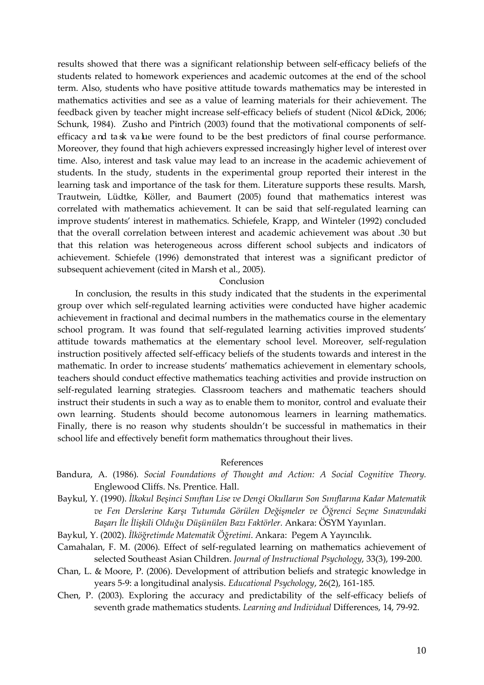results showed that there was a significant relationship between self-efficacy beliefs of the students related to homework experiences and academic outcomes at the end of the school term. Also, students who have positive attitude towards mathematics may be interested in mathematics activities and see as a value of learning materials for their achievement. The feedback given by teacher might increase self-efficacy beliefs of student (Nicol &Dick, 2006; Schunk, 1984). Zusho and Pintrich (2003) found that the motivational components of selfefficacy and ta sk value were found to be the best predictors of final course performance. Moreover, they found that high achievers expressed increasingly higher level of interest over time. Also, interest and task value may lead to an increase in the academic achievement of students. In the study, students in the experimental group reported their interest in the learning task and importance of the task for them. Literature supports these results. Marsh, Trautwein, Lüdtke, Köller, and Baumert (2005) found that mathematics interest was correlated with mathematics achievement. It can be said that self-regulated learning can improve students' interest in mathematics. Schiefele, Krapp, and Winteler (1992) concluded that the overall correlation between interest and academic achievement was about .30 but that this relation was heterogeneous across different school subjects and indicators of achievement. Schiefele (1996) demonstrated that interest was a significant predictor of subsequent achievement (cited in Marsh et al., 2005).

#### Conclusion

 In conclusion, the results in this study indicated that the students in the experimental group over which self-regulated learning activities were conducted have higher academic achievement in fractional and decimal numbers in the mathematics course in the elementary school program. It was found that self-regulated learning activities improved students' attitude towards mathematics at the elementary school level. Moreover, self-regulation instruction positively affected self-efficacy beliefs of the students towards and interest in the mathematic. In order to increase students' mathematics achievement in elementary schools, teachers should conduct effective mathematics teaching activities and provide instruction on self-regulated learning strategies. Classroom teachers and mathematic teachers should instruct their students in such a way as to enable them to monitor, control and evaluate their own learning. Students should become autonomous learners in learning mathematics. Finally, there is no reason why students shouldn't be successful in mathematics in their school life and effectively benefit form mathematics throughout their lives.

## References

- Bandura, A. (1986). *Social Foundations of Thought and Action: A Social Cognitive Theory.* Englewood Cliffs. Ns. Prentice. Hall.
- Baykul, Y. (1990). *İlkokul Beşinci Sınıftan Lise ve Dengi Okulların Son Sınıflarına Kadar Matematik ve Fen Derslerine Karşı Tutumda Görülen Değişmeler ve Öğrenci Seçme Sınavındaki Başarı İle İlişkili Olduğu Düşünülen Bazı Faktörler.* Ankara: ÖSYM Yayınları.
- Baykul, Y. (2002). *İlköğretimde Matematik Öğretimi*. Ankara: Pegem A Yayıncılık.
- Camahalan, F. M. (2006). Effect of self-regulated learning on mathematics achievement of selected Southeast Asian Children. *Journal of Instructional Psychology*, 33(3), 199-200.
- Chan, L. & Moore, P. (2006). Development of attribution beliefs and strategic knowledge in years 5-9: a longitudinal analysis. *Educational Psychology*, 26(2), 161-185.
- Chen, P. (2003). Exploring the accuracy and predictability of the self-efficacy beliefs of seventh grade mathematics students. *Learning and Individual* Differences, 14, 79-92.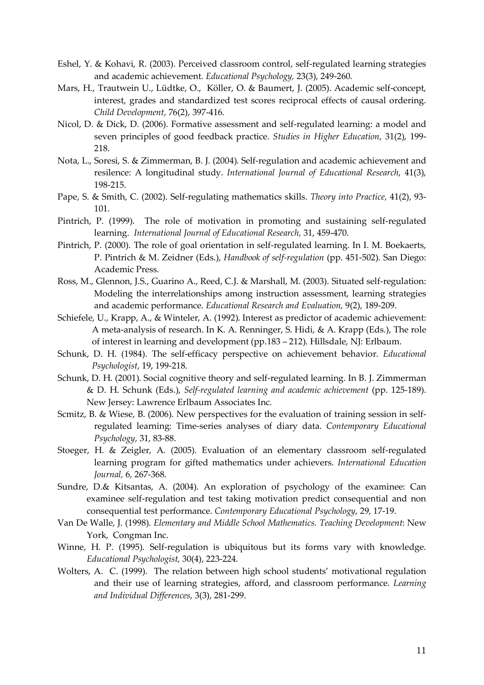- Eshel, Y. & Kohavi, R. (2003). Perceived classroom control, self-regulated learning strategies and academic achievement. *Educational Psychology,* 23(3), 249-260.
- Mars, H., Trautwein U., Lüdtke, O., Köller, O. & Baumert, J. (2005). Academic self-concept, interest, grades and standardized test scores reciprocal effects of causal ordering. *Child Development*, 76(2), 397-416.
- Nicol, D. & Dick, D. (2006). Formative assessment and self-regulated learning: a model and seven principles of good feedback practice. *Studies in Higher Education*, 31(2), 199- 218.
- Nota, L., Soresi, S. & Zimmerman, B. J. (2004). Self-regulation and academic achievement and resilence: A longitudinal study. *International Journal of Educational Research*, 41(3), 198-215.
- Pape, S. & Smith, C. (2002). Self-regulating mathematics skills. *Theory into Practice,* 41(2), 93- 101.
- Pintrich, P. (1999). The role of motivation in promoting and sustaining self-regulated learning. *International Journal of Educational Research,* 31, 459-470.
- Pintrich, P. (2000). The role of goal orientation in self-regulated learning. In I. M. Boekaerts, P. Pintrich & M. Zeidner (Eds.), *Handbook of self-regulation* (pp. 451-502). San Diego: Academic Press.
- Ross, M., Glennon, J.S., Guarino A., Reed, C.J. & Marshall, M. (2003). Situated self-regulation: Modeling the interrelationships among instruction assessment, learning strategies and academic performance. *Educational Research and Evaluation,* 9(2), 189-209.
- Schiefele, U., Krapp, A., & Winteler, A. (1992). Interest as predictor of academic achievement: A meta-analysis of research. In K. A. Renninger, S. Hidi, & A. Krapp (Eds.), The role of interest in learning and development (pp.183 – 212). Hillsdale, NJ: Erlbaum.
- Schunk, D. H. (1984). The self-efficacy perspective on achievement behavior. *Educational Psychologist*, 19, 199-218.
- Schunk, D. H. (2001). Social cognitive theory and self-regulated learning. In B. J. Zimmerman & D. H. Schunk (Eds.), *Self-regulated learning and academic achievement* (pp. 125-189). New Jersey: Lawrence Erlbaum Associates Inc.
- Scmitz, B. & Wiese, B. (2006). New perspectives for the evaluation of training session in selfregulated learning: Time-series analyses of diary data. *Contemporary Educational Psychology*, 31, 83-88.
- Stoeger, H. & Zeigler, A. (2005). Evaluation of an elementary classroom self-regulated learning program for gifted mathematics under achievers. *International Education Journal,* 6, 267-368.
- Sundre, D.& Kitsantas, A. (2004). An exploration of psychology of the examinee: Can examinee self-regulation and test taking motivation predict consequential and non consequential test performance. *Contemporary Educational Psychology*, 29, 17-19.
- Van De Walle, J. (1998). *Elementary and Middle School Mathematics. Teaching Development*: New York, Congman Inc.
- Winne, H. P. (1995). Self-regulation is ubiquitous but its forms vary with knowledge. *Educational Psychologist,* 30(4), 223-224.
- Wolters, A. C. (1999). The relation between high school students' motivational regulation and their use of learning strategies, afford, and classroom performance. *Learning and Individual Differences*, 3(3), 281-299.